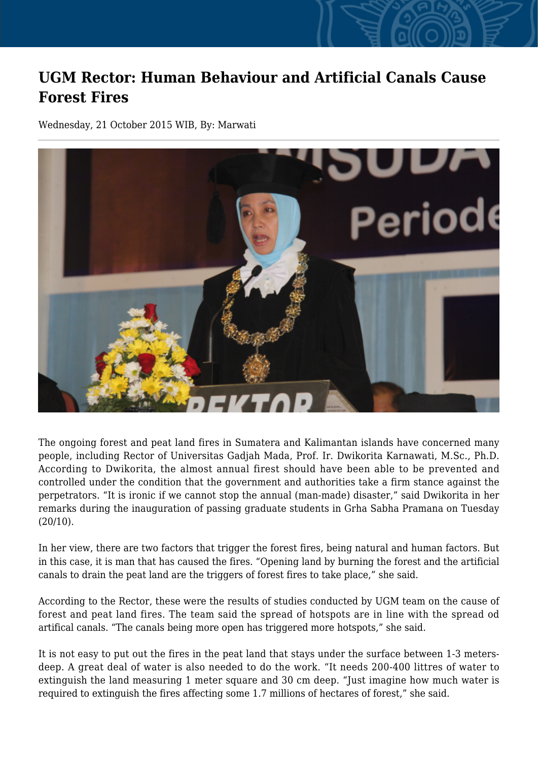## **UGM Rector: Human Behaviour and Artificial Canals Cause Forest Fires**

Wednesday, 21 October 2015 WIB, By: Marwati



The ongoing forest and peat land fires in Sumatera and Kalimantan islands have concerned many people, including Rector of Universitas Gadjah Mada, Prof. Ir. Dwikorita Karnawati, M.Sc., Ph.D. According to Dwikorita, the almost annual firest should have been able to be prevented and controlled under the condition that the government and authorities take a firm stance against the perpetrators. "It is ironic if we cannot stop the annual (man-made) disaster," said Dwikorita in her remarks during the inauguration of passing graduate students in Grha Sabha Pramana on Tuesday  $(20/10)$ .

In her view, there are two factors that trigger the forest fires, being natural and human factors. But in this case, it is man that has caused the fires. "Opening land by burning the forest and the artificial canals to drain the peat land are the triggers of forest fires to take place," she said.

According to the Rector, these were the results of studies conducted by UGM team on the cause of forest and peat land fires. The team said the spread of hotspots are in line with the spread od artifical canals. "The canals being more open has triggered more hotspots," she said.

It is not easy to put out the fires in the peat land that stays under the surface between 1-3 metersdeep. A great deal of water is also needed to do the work. "It needs 200-400 littres of water to extinguish the land measuring 1 meter square and 30 cm deep. "Just imagine how much water is required to extinguish the fires affecting some 1.7 millions of hectares of forest," she said.